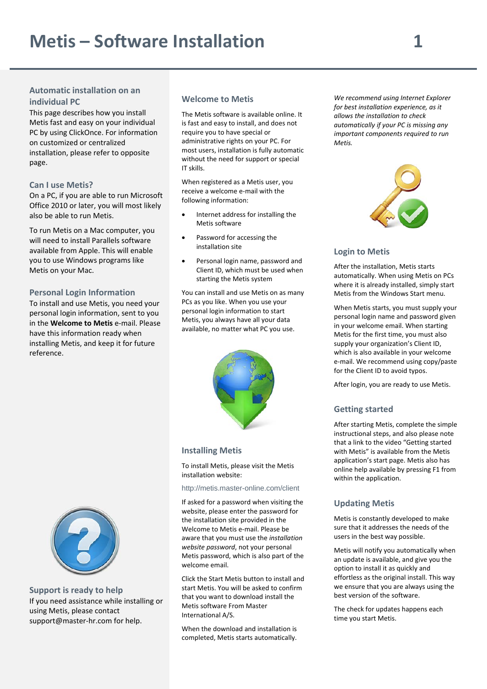# **Automatic installation on an individual PC**

This page describes how you install Metis fast and easy on your individual PC by using ClickOnce. For information on customized or centralized installation, please refer to opposite page.

## **Can I use Metis?**

On a PC, if you are able to run Microsoft Office 2010 or later, you will most likely also be able to run Metis.

To run Metis on a Mac computer, you will need to install Parallels software available from Apple. This will enable you to use Windows programs like Metis on your Mac.

#### **Personal Login Information**

To install and use Metis, you need your personal login information, sent to you in the **Welcome to Metis** e‐mail. Please have this information ready when installing Metis, and keep it for future reference.

#### **Welcome to Metis**

The Metis software is available online. It is fast and easy to install, and does not require you to have special or administrative rights on your PC. For most users, installation is fully automatic without the need for support or special IT skills.

When registered as a Metis user, you receive a welcome e‐mail with the following information:

- Internet address for installing the Metis software
- Password for accessing the installation site
- Personal login name, password and Client ID, which must be used when starting the Metis system

You can install and use Metis on as many PCs as you like. When you use your personal login information to start Metis, you always have all your data available, no matter what PC you use.



#### **Installing Metis**

To install Metis, please visit the Metis installation website:

http://metis.master-online.com/client

If asked for a password when visiting the website, please enter the password for the installation site provided in the Welcome to Metis e‐mail. Please be aware that you must use the *installation website password*, not your personal Metis password, which is also part of the welcome email.

Click the Start Metis button to install and start Metis. You will be asked to confirm that you want to download install the Metis software From Master International A/S.

When the download and installation is completed, Metis starts automatically.

*We recommend using Internet Explorer for best installation experience, as it allows the installation to check automatically if your PC is missing any important components required to run Metis.*



# **Login to Metis**

After the installation, Metis starts automatically. When using Metis on PCs where it is already installed, simply start Metis from the Windows Start menu.

When Metis starts, you must supply your personal login name and password given in your welcome email. When starting Metis for the first time, you must also supply your organization's Client ID, which is also available in your welcome e‐mail. We recommend using copy/paste for the Client ID to avoid typos.

After login, you are ready to use Metis.

# **Getting started**

After starting Metis, complete the simple instructional steps, and also please note that a link to the video "Getting started with Metis" is available from the Metis application's start page. Metis also has online help available by pressing F1 from within the application.

#### **Updating Metis**

Metis is constantly developed to make sure that it addresses the needs of the users in the best way possible.

Metis will notify you automatically when an update is available, and give you the option to install it as quickly and effortless as the original install. This way we ensure that you are always using the best version of the software.

The check for updates happens each time you start Metis.



**Support is ready to help** If you need assistance while installing or using Metis, please contact support@master‐hr.com for help.